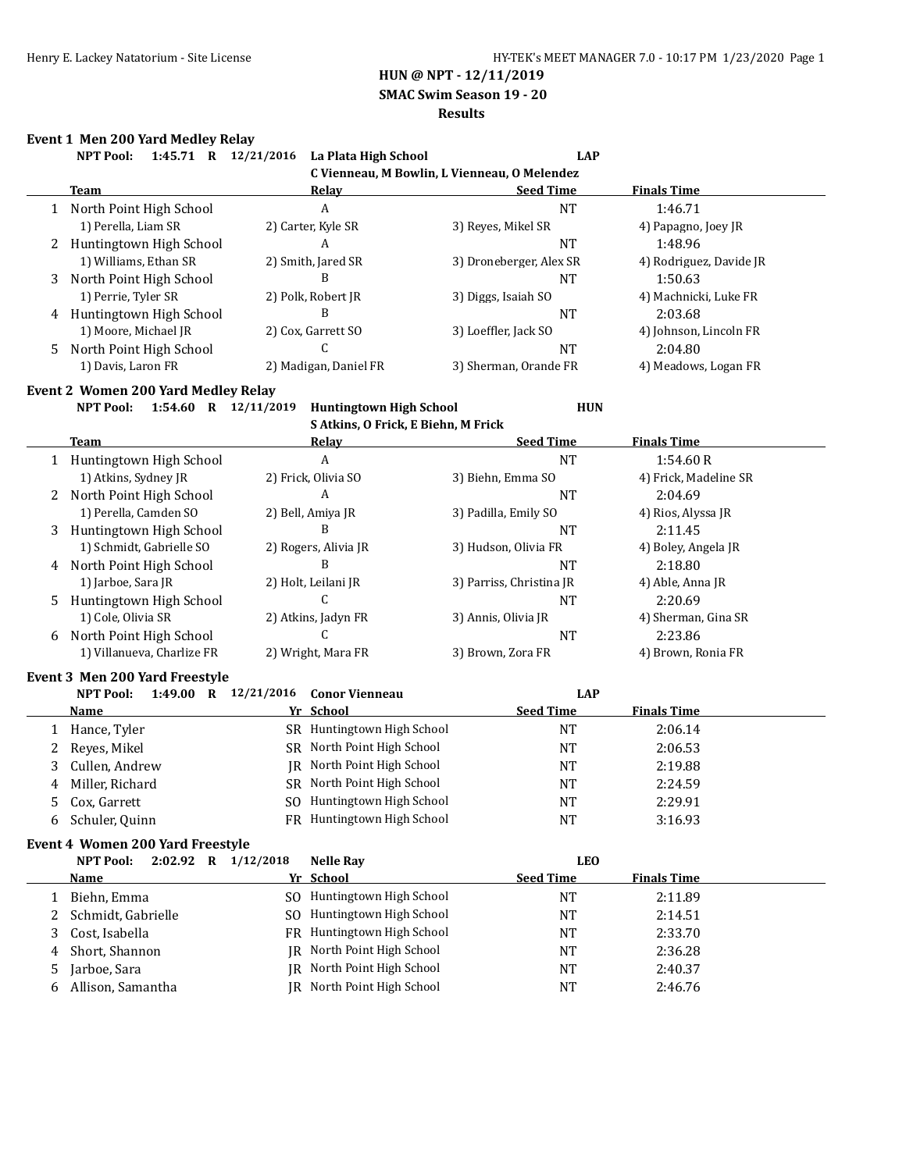**SMAC Swim Season 19 - 20**

#### **Results**

# **Event 1 Men 200 Yard Medley Relay**<br>**AUCE 24.45.74**  $\frac{1}{2}$  12.23

|   | Event 1 men 200 faru meulev Relay |                                    |                                              |                         |  |  |  |  |  |
|---|-----------------------------------|------------------------------------|----------------------------------------------|-------------------------|--|--|--|--|--|
|   | 1:45.71<br><b>NPT Pool:</b><br>R  | 12/21/2016<br>La Plata High School | <b>LAP</b>                                   |                         |  |  |  |  |  |
|   |                                   |                                    | C Vienneau, M Bowlin, L Vienneau, O Melendez |                         |  |  |  |  |  |
|   | <b>Team</b>                       | Relav                              | <b>Seed Time</b>                             | <b>Finals Time</b>      |  |  |  |  |  |
|   | 1 North Point High School         | A                                  | NT                                           | 1:46.71                 |  |  |  |  |  |
|   | 1) Perella, Liam SR               | 2) Carter, Kyle SR                 | 3) Reyes, Mikel SR                           | 4) Papagno, Joey JR     |  |  |  |  |  |
|   | 2 Huntingtown High School         | A                                  | NT                                           | 1:48.96                 |  |  |  |  |  |
|   | 1) Williams, Ethan SR             | 2) Smith, Jared SR                 | 3) Droneberger, Alex SR                      | 4) Rodriguez, Davide JR |  |  |  |  |  |
| 3 | North Point High School           | B                                  | NT                                           | 1:50.63                 |  |  |  |  |  |
|   | 1) Perrie, Tyler SR               | 2) Polk, Robert JR                 | 3) Diggs, Isaiah SO                          | 4) Machnicki, Luke FR   |  |  |  |  |  |
| 4 | Huntingtown High School           | B                                  | <b>NT</b>                                    | 2:03.68                 |  |  |  |  |  |
|   | 1) Moore, Michael JR              | 2) Cox, Garrett SO                 | 3) Loeffler, Jack SO                         | 4) Johnson, Lincoln FR  |  |  |  |  |  |
|   | 5 North Point High School         | ι.                                 | <b>NT</b>                                    | 2:04.80                 |  |  |  |  |  |
|   | 1) Davis, Laron FR                | 2) Madigan, Daniel FR              | 3) Sherman, Orande FR                        | 4) Meadows, Logan FR    |  |  |  |  |  |

#### **Event 2 Women 200 Yard Medley Relay**

**NPT Pool: 1:54.60 R 12/11/2019 Huntingtown High School HUN**

**S Atkins, O Frick, E Biehn, M Frick**

|    | <b>Team</b>                | Relay                | <b>Seed Time</b>         | <b>Finals Time</b>    |
|----|----------------------------|----------------------|--------------------------|-----------------------|
|    | Huntingtown High School    | A                    | <b>NT</b>                | 1:54.60R              |
|    | 1) Atkins, Sydney JR       | 2) Frick, Olivia SO  | 3) Biehn, Emma SO        | 4) Frick, Madeline SR |
|    | 2 North Point High School  | A                    | <b>NT</b>                | 2:04.69               |
|    | 1) Perella, Camden SO      | 2) Bell, Amiya JR    | 3) Padilla, Emily SO     | 4) Rios, Alyssa JR    |
| 3  | Huntingtown High School    | В                    | NT                       | 2:11.45               |
|    | 1) Schmidt, Gabrielle SO   | 2) Rogers, Alivia JR | 3) Hudson, Olivia FR     | 4) Boley, Angela JR   |
| 4  | North Point High School    | В                    | <b>NT</b>                | 2:18.80               |
|    | 1) Jarboe, Sara JR         | 2) Holt, Leilani JR  | 3) Parriss, Christina JR | 4) Able, Anna JR      |
| 5. | Huntingtown High School    |                      | <b>NT</b>                | 2:20.69               |
|    | 1) Cole, Olivia SR         | 2) Atkins, Jadyn FR  | 3) Annis, Olivia JR      | 4) Sherman, Gina SR   |
| 6  | North Point High School    |                      | <b>NT</b>                | 2:23.86               |
|    | 1) Villanueva, Charlize FR | 2) Wright, Mara FR   | 3) Brown, Zora FR        | 4) Brown, Ronia FR    |

# **Event 3 Men 200 Yard Freestyle**<br>NPT Pool: 1:49.00 P 12/21/2016 Conor View

|   | 1:49.00<br><b>NPT Pool:</b><br>R | 12/21/2016 Conor Vienneau  | LAP              |                    |
|---|----------------------------------|----------------------------|------------------|--------------------|
|   | Name                             | Yr School                  | <b>Seed Time</b> | <b>Finals Time</b> |
|   | Hance, Tyler                     | SR Huntingtown High School | NT               | 2:06.14            |
| 2 | Reyes, Mikel                     | SR North Point High School | NT               | 2:06.53            |
| 3 | Cullen, Andrew                   | IR North Point High School | NT               | 2:19.88            |
| 4 | Miller, Richard                  | SR North Point High School | NT               | 2:24.59            |
| 5 | Cox, Garrett                     | SO Huntingtown High School | NT               | 2:29.91            |
| 6 | Schuler, Quinn                   | FR Huntingtown High School | NT               | 3:16.93            |

#### **Event 4 Women 200 Yard Freestyle**

|   | $2:02.92$ R<br><b>NPT Pool:</b> | 1/12/2018<br><b>Nelle Ray</b>  | LEO              |                    |  |
|---|---------------------------------|--------------------------------|------------------|--------------------|--|
|   | Name                            | Yr School                      | <b>Seed Time</b> | <b>Finals Time</b> |  |
|   | Biehn, Emma                     | Huntingtown High School<br>SO. | NT               | 2:11.89            |  |
|   | 2 Schmidt, Gabrielle            | Huntingtown High School<br>SO. | NT               | 2:14.51            |  |
|   | Cost, Isabella                  | FR Huntingtown High School     | NT               | 2:33.70            |  |
| 4 | Short, Shannon                  | IR North Point High School     | <b>NT</b>        | 2:36.28            |  |
|   | Jarboe, Sara                    | North Point High School<br>IR  | <b>NT</b>        | 2:40.37            |  |
| b | Allison, Samantha               | IR North Point High School     | <b>NT</b>        | 2:46.76            |  |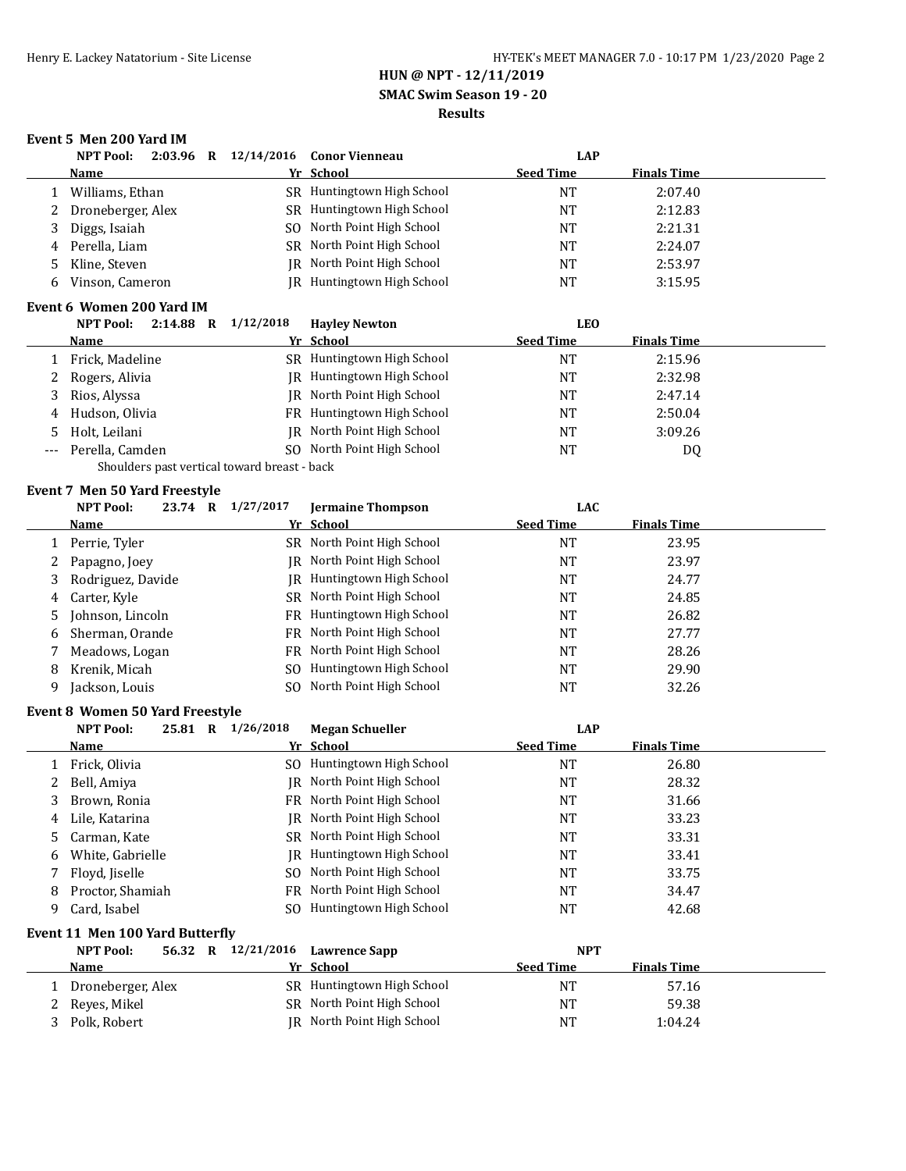**SMAC Swim Season 19 - 20**

#### **Results**

### **Event 5 Men 200 Yard IM**

|     | <b>NPT Pool:</b>                                           | 2:03.96 R 12/14/2016                         | <b>Conor Vienneau</b>             | <b>LAP</b>       |                    |  |
|-----|------------------------------------------------------------|----------------------------------------------|-----------------------------------|------------------|--------------------|--|
|     | <b>Name</b>                                                |                                              | Yr School                         | <b>Seed Time</b> | <b>Finals Time</b> |  |
| 1   | Williams, Ethan                                            |                                              | SR Huntingtown High School        | <b>NT</b>        | 2:07.40            |  |
| 2   | Droneberger, Alex                                          |                                              | SR Huntingtown High School        | <b>NT</b>        | 2:12.83            |  |
| 3   | Diggs, Isaiah                                              |                                              | SO North Point High School        | <b>NT</b>        | 2:21.31            |  |
| 4   | Perella, Liam                                              |                                              | SR North Point High School        | NT               | 2:24.07            |  |
| 5   | Kline, Steven                                              |                                              | JR North Point High School        | NT               | 2:53.97            |  |
| 6   | Vinson, Cameron                                            |                                              | JR Huntingtown High School        | NT               | 3:15.95            |  |
|     |                                                            |                                              |                                   |                  |                    |  |
|     | Event 6 Women 200 Yard IM                                  |                                              |                                   |                  |                    |  |
|     | <b>NPT Pool:</b>                                           | 2:14.88 R 1/12/2018                          | <b>Hayley Newton</b><br>Yr School | <b>LEO</b>       |                    |  |
|     | <u>Name</u>                                                |                                              |                                   | <b>Seed Time</b> | <b>Finals Time</b> |  |
| 1   | Frick, Madeline                                            |                                              | SR Huntingtown High School        | <b>NT</b>        | 2:15.96            |  |
| 2   | Rogers, Alivia                                             |                                              | JR Huntingtown High School        | <b>NT</b>        | 2:32.98            |  |
| 3   | Rios, Alyssa                                               |                                              | JR North Point High School        | NT               | 2:47.14            |  |
| 4   | Hudson, Olivia                                             |                                              | FR Huntingtown High School        | <b>NT</b>        | 2:50.04            |  |
| 5   | Holt, Leilani                                              |                                              | JR North Point High School        | NT               | 3:09.26            |  |
| --- | Perella, Camden                                            |                                              | SO North Point High School        | <b>NT</b>        | DQ                 |  |
|     |                                                            | Shoulders past vertical toward breast - back |                                   |                  |                    |  |
|     | <b>Event 7 Men 50 Yard Freestyle</b>                       |                                              |                                   |                  |                    |  |
|     | <b>NPT Pool:</b>                                           | 23.74 R 1/27/2017                            | <b>Jermaine Thompson</b>          | <b>LAC</b>       |                    |  |
|     | <u>Name</u>                                                |                                              | Yr School                         | <b>Seed Time</b> | <b>Finals Time</b> |  |
|     | 1 Perrie, Tyler                                            |                                              | SR North Point High School        | <b>NT</b>        | 23.95              |  |
| 2   | Papagno, Joey                                              |                                              | JR North Point High School        | NT               | 23.97              |  |
| 3   | Rodriguez, Davide                                          |                                              | <b>IR</b> Huntingtown High School | <b>NT</b>        | 24.77              |  |
| 4   | Carter, Kyle                                               |                                              | SR North Point High School        | <b>NT</b>        | 24.85              |  |
| 5   | Johnson, Lincoln                                           |                                              | FR Huntingtown High School        | NT               | 26.82              |  |
| 6   | Sherman, Orande                                            |                                              | FR North Point High School        | <b>NT</b>        | 27.77              |  |
| 7   | Meadows, Logan                                             |                                              | FR North Point High School        | <b>NT</b>        | 28.26              |  |
| 8   | Krenik, Micah                                              | SO.                                          | Huntingtown High School           | NT               | 29.90              |  |
| 9   | Jackson, Louis                                             | SO.                                          | North Point High School           | <b>NT</b>        | 32.26              |  |
|     |                                                            |                                              |                                   |                  |                    |  |
|     | <b>Event 8 Women 50 Yard Freestyle</b><br><b>NPT Pool:</b> | 25.81 R 1/26/2018                            | <b>Megan Schueller</b>            | <b>LAP</b>       |                    |  |
|     | <u>Name</u>                                                |                                              | Yr School                         | <b>Seed Time</b> | <b>Finals Time</b> |  |
|     | Frick, Olivia                                              |                                              | SO Huntingtown High School        | <b>NT</b>        | 26.80              |  |
| 1   |                                                            |                                              | JR North Point High School        | NT               | 28.32              |  |
| 2   | Bell, Amiya                                                |                                              | FR North Point High School        |                  |                    |  |
| 3   | Brown, Ronia                                               |                                              | JR North Point High School        | <b>NT</b>        | 31.66              |  |
| 4   | Lile, Katarina                                             |                                              |                                   | <b>NT</b>        | 33.23              |  |
| 5   | Carman, Kate                                               |                                              | SR North Point High School        | NT               | 33.31              |  |
| 6   | White, Gabrielle                                           | IR                                           | Huntingtown High School           | NT               | 33.41              |  |
| 7   | Floyd, Jiselle                                             | SO.                                          | North Point High School           | NT               | 33.75              |  |
| 8   | Proctor, Shamiah                                           | FR                                           | North Point High School           | NT               | 34.47              |  |
| 9   | Card, Isabel                                               | SO.                                          | Huntingtown High School           | NT               | 42.68              |  |
|     | Event 11 Men 100 Yard Butterfly                            |                                              |                                   |                  |                    |  |
|     | <b>NPT Pool:</b>                                           | 56.32 R 12/21/2016                           | <b>Lawrence Sapp</b>              | <b>NPT</b>       |                    |  |
|     | <u>Name</u>                                                |                                              | Yr School                         | <b>Seed Time</b> | <b>Finals Time</b> |  |
| 1   | Droneberger, Alex                                          |                                              | SR Huntingtown High School        | <b>NT</b>        | 57.16              |  |
| 2   | Reyes, Mikel                                               |                                              | SR North Point High School        | $\rm{NT}$        | 59.38              |  |
| 3   | Polk, Robert                                               |                                              | JR North Point High School        | NT               | 1:04.24            |  |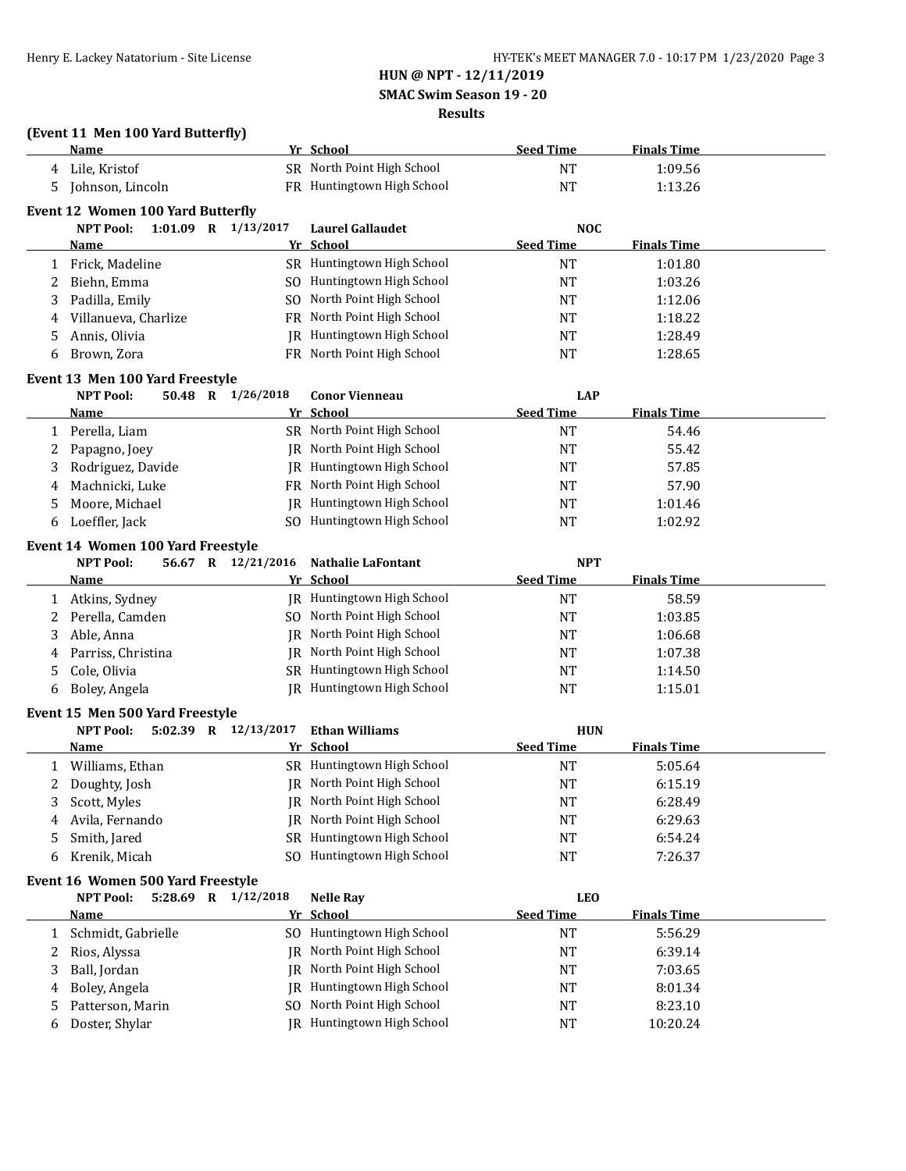**SMAC Swim Season 19 - 20**

### **Results**

|  |  | (Event 11 Men 100 Yard Butterfly) |  |
|--|--|-----------------------------------|--|
|  |  |                                   |  |

|              | TERCHE II. MCH 100 TULU DUCCITIV I        |    |                            |                  |                    |  |
|--------------|-------------------------------------------|----|----------------------------|------------------|--------------------|--|
|              | <u>Name</u>                               |    | Yr School                  | <b>Seed Time</b> | <b>Finals Time</b> |  |
|              | 4 Lile, Kristof                           |    | SR North Point High School | <b>NT</b>        | 1:09.56            |  |
| 5.           | Johnson, Lincoln                          |    | FR Huntingtown High School | <b>NT</b>        | 1:13.26            |  |
|              | Event 12 Women 100 Yard Butterfly         |    |                            |                  |                    |  |
|              | <b>NPT Pool:</b><br>1:01.09 R $1/13/2017$ |    | <b>Laurel Gallaudet</b>    | <b>NOC</b>       |                    |  |
|              | <u>Name</u>                               |    | Yr School                  | <b>Seed Time</b> | <b>Finals Time</b> |  |
| $\mathbf{1}$ | Frick, Madeline                           |    | SR Huntingtown High School | <b>NT</b>        | 1:01.80            |  |
| 2            | Biehn, Emma                               |    | SO Huntingtown High School | <b>NT</b>        | 1:03.26            |  |
| 3            | Padilla, Emily                            |    | SO North Point High School | <b>NT</b>        | 1:12.06            |  |
| 4            | Villanueva, Charlize                      |    | FR North Point High School | <b>NT</b>        | 1:18.22            |  |
| 5            | Annis, Olivia                             |    | JR Huntingtown High School | <b>NT</b>        | 1:28.49            |  |
| 6            | Brown, Zora                               |    | FR North Point High School | <b>NT</b>        | 1:28.65            |  |
|              | Event 13 Men 100 Yard Freestyle           |    |                            |                  |                    |  |
|              | <b>NPT Pool:</b><br>50.48 R 1/26/2018     |    | <b>Conor Vienneau</b>      | <b>LAP</b>       |                    |  |
|              | <u>Name</u>                               |    | Yr School                  | <b>Seed Time</b> | <b>Finals Time</b> |  |
| 1            | Perella, Liam                             |    | SR North Point High School | <b>NT</b>        | 54.46              |  |
| 2            | Papagno, Joey                             |    | JR North Point High School | <b>NT</b>        | 55.42              |  |
| 3            | Rodriguez, Davide                         |    | JR Huntingtown High School | NT               | 57.85              |  |
|              | Machnicki, Luke                           |    | FR North Point High School | <b>NT</b>        | 57.90              |  |
| 4            | Moore, Michael                            |    | JR Huntingtown High School | <b>NT</b>        | 1:01.46            |  |
| 5            |                                           |    | SO Huntingtown High School |                  |                    |  |
| 6            | Loeffler, Jack                            |    |                            | <b>NT</b>        | 1:02.92            |  |
|              | Event 14 Women 100 Yard Freestyle         |    |                            |                  |                    |  |
|              | <b>NPT Pool:</b><br>56.67 R 12/21/2016    |    | <b>Nathalie LaFontant</b>  | <b>NPT</b>       |                    |  |
|              | Name                                      |    | Yr School                  | <b>Seed Time</b> | <b>Finals Time</b> |  |
| 1            | Atkins, Sydney                            |    | JR Huntingtown High School | <b>NT</b>        | 58.59              |  |
| 2            | Perella, Camden                           |    | SO North Point High School | <b>NT</b>        | 1:03.85            |  |
| 3            | Able, Anna                                |    | JR North Point High School | <b>NT</b>        | 1:06.68            |  |
| 4            | Parriss, Christina                        |    | JR North Point High School | <b>NT</b>        | 1:07.38            |  |
| 5            | Cole, Olivia                              |    | SR Huntingtown High School | <b>NT</b>        | 1:14.50            |  |
| 6            | Boley, Angela                             |    | JR Huntingtown High School | <b>NT</b>        | 1:15.01            |  |
|              | Event 15 Men 500 Yard Freestyle           |    |                            |                  |                    |  |
|              | 5:02.39 R 12/13/2017<br><b>NPT Pool:</b>  |    | <b>Ethan Williams</b>      | <b>HUN</b>       |                    |  |
|              | <b>Name</b>                               |    | Yr School                  | <b>Seed Time</b> | <b>Finals Time</b> |  |
| 1            | Williams, Ethan                           |    | SR Huntingtown High School | <b>NT</b>        | 5:05.64            |  |
| 2            | Doughty, Josh                             |    | JR North Point High School | <b>NT</b>        | 6:15.19            |  |
| 3            | Scott, Myles                              |    | JR North Point High School | $\rm{NT}$        | 6:28.49            |  |
|              |                                           |    | IR North Point High School | <b>NT</b>        | 6:29.63            |  |
| 4            | Avila, Fernando                           |    | SR Huntingtown High School |                  |                    |  |
| 5            | Smith, Jared                              |    | SO Huntingtown High School | NT               | 6:54.24            |  |
| 6            | Krenik, Micah                             |    |                            | NT               | 7:26.37            |  |
|              | Event 16 Women 500 Yard Freestyle         |    |                            |                  |                    |  |
|              | 5:28.69 R 1/12/2018<br><b>NPT Pool:</b>   |    | <b>Nelle Ray</b>           | <b>LEO</b>       |                    |  |
|              | <b>Name</b>                               |    | Yr School                  | <b>Seed Time</b> | <b>Finals Time</b> |  |
| 1            | Schmidt, Gabrielle                        |    | SO Huntingtown High School | <b>NT</b>        | 5:56.29            |  |
| 2            | Rios, Alyssa                              | IR | North Point High School    | <b>NT</b>        | 6:39.14            |  |
| 3            | Ball, Jordan                              |    | JR North Point High School | NT               | 7:03.65            |  |
| 4            | Boley, Angela                             | IR | Huntingtown High School    | NT               | 8:01.34            |  |
| 5            | Patterson, Marin                          |    | SO North Point High School | NT               | 8:23.10            |  |
| 6            | Doster, Shylar                            |    | JR Huntingtown High School | <b>NT</b>        | 10:20.24           |  |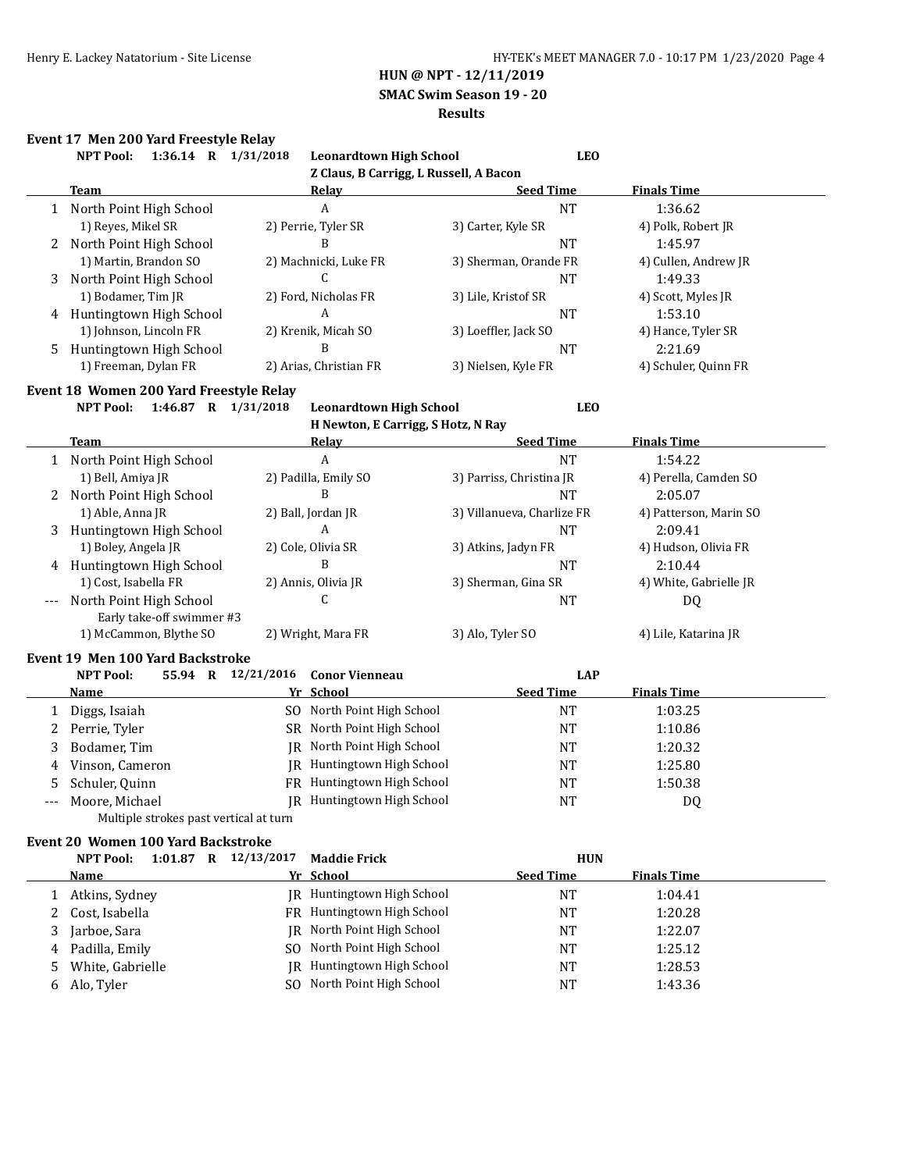**SMAC Swim Season 19 - 20**

### **Results**

#### **Event 17 Men 200 Yard Freestyle Relay**

|              | 1:36.14 R 1/31/2018<br><b>NPT Pool:</b>  | <b>Leonardtown High School</b>         | <b>LEO</b>                 |                        |
|--------------|------------------------------------------|----------------------------------------|----------------------------|------------------------|
|              |                                          | Z Claus, B Carrigg, L Russell, A Bacon |                            |                        |
|              | <b>Team</b>                              | <b>Relay</b>                           | <b>Seed Time</b>           | <b>Finals Time</b>     |
|              | 1 North Point High School                | A                                      | <b>NT</b>                  | 1:36.62                |
|              | 1) Reyes, Mikel SR                       | 2) Perrie, Tyler SR                    | 3) Carter, Kyle SR         | 4) Polk, Robert JR     |
| 2            | North Point High School                  | B                                      | NT                         | 1:45.97                |
|              | 1) Martin, Brandon SO                    | 2) Machnicki, Luke FR                  | 3) Sherman, Orande FR      | 4) Cullen, Andrew JR   |
| 3            | North Point High School                  | C                                      | <b>NT</b>                  | 1:49.33                |
|              | 1) Bodamer, Tim JR                       | 2) Ford, Nicholas FR                   | 3) Lile, Kristof SR        | 4) Scott, Myles JR     |
|              | 4 Huntingtown High School                | A                                      | NT                         | 1:53.10                |
|              | 1) Johnson, Lincoln FR                   | 2) Krenik, Micah SO                    | 3) Loeffler, Jack SO       | 4) Hance, Tyler SR     |
| 5            | Huntingtown High School                  | B                                      | <b>NT</b>                  | 2:21.69                |
|              | 1) Freeman, Dylan FR                     | 2) Arias, Christian FR                 | 3) Nielsen, Kyle FR        | 4) Schuler, Quinn FR   |
|              | Event 18 Women 200 Yard Freestyle Relay  |                                        |                            |                        |
|              | 1:46.87 R 1/31/2018<br><b>NPT Pool:</b>  | <b>Leonardtown High School</b>         | <b>LEO</b>                 |                        |
|              |                                          | H Newton, E Carrigg, S Hotz, N Ray     |                            |                        |
|              | <b>Team</b>                              | <b>Relay</b>                           | <b>Seed Time</b>           | <b>Finals Time</b>     |
|              | 1 North Point High School                | A                                      | <b>NT</b>                  | 1:54.22                |
|              | 1) Bell, Amiya JR                        | 2) Padilla, Emily SO                   | 3) Parriss, Christina JR   | 4) Perella, Camden SO  |
| 2            | North Point High School                  | B                                      | NT                         | 2:05.07                |
|              | 1) Able, Anna JR                         | 2) Ball, Jordan JR                     | 3) Villanueva, Charlize FR | 4) Patterson, Marin SO |
|              | Huntingtown High School                  | A                                      | <b>NT</b>                  | 2:09.41                |
| 3            | 1) Boley, Angela JR                      | 2) Cole, Olivia SR                     |                            |                        |
|              |                                          | B                                      | 3) Atkins, Jadyn FR        | 4) Hudson, Olivia FR   |
| 4            | Huntingtown High School                  |                                        | NT                         | 2:10.44                |
|              | 1) Cost, Isabella FR                     | 2) Annis, Olivia JR                    | 3) Sherman, Gina SR        | 4) White, Gabrielle JR |
|              | North Point High School                  | C                                      | <b>NT</b>                  | DQ                     |
|              | Early take-off swimmer #3                |                                        |                            |                        |
|              | 1) McCammon, Blythe SO                   | 2) Wright, Mara FR                     | 3) Alo, Tyler SO           | 4) Lile, Katarina JR   |
|              | Event 19 Men 100 Yard Backstroke         |                                        |                            |                        |
|              | <b>NPT Pool:</b>                         | 55.94 R 12/21/2016 Conor Vienneau      | <b>LAP</b>                 |                        |
|              | <u>Name</u>                              | Yr School                              | <b>Seed Time</b>           | <b>Finals Time</b>     |
|              | 1 Diggs, Isaiah                          | SO North Point High School             | NT                         | 1:03.25                |
| 2            | Perrie, Tyler                            | SR North Point High School             | <b>NT</b>                  | 1:10.86                |
| 3            | Bodamer, Tim                             | JR North Point High School             | <b>NT</b>                  | 1:20.32                |
| 4            | Vinson, Cameron                          | JR Huntingtown High School             | <b>NT</b>                  | 1:25.80                |
| 5            | Schuler, Quinn                           | FR Huntingtown High School             | <b>NT</b>                  | 1:50.38                |
|              | Moore, Michael                           | JR Huntingtown High School             | <b>NT</b>                  | DQ                     |
|              | Multiple strokes past vertical at turn   |                                        |                            |                        |
|              | Event 20 Women 100 Yard Backstroke       |                                        |                            |                        |
|              | 1:01.87 R 12/13/2017<br><b>NPT Pool:</b> | <b>Maddie Frick</b>                    | <b>HUN</b>                 |                        |
|              | <b>Name</b>                              | Yr School                              | <b>Seed Time</b>           | <b>Finals Time</b>     |
|              |                                          | JR Huntingtown High School             |                            |                        |
| $\mathbf{1}$ | Atkins, Sydney                           |                                        | NT                         | 1:04.41                |
| 2            | Cost, Isabella                           | FR Huntingtown High School             | $\rm{NT}$                  | 1:20.28                |
| 3            | Jarboe, Sara                             | JR North Point High School             | NT                         | 1:22.07                |
| 4            | Padilla, Emily                           | SO North Point High School             | NT                         | 1:25.12                |

5 White, Gabrielle JR Huntingtown High School NT 1:28.53 6 Alo, Tyler SO North Point High School NT 1:43.36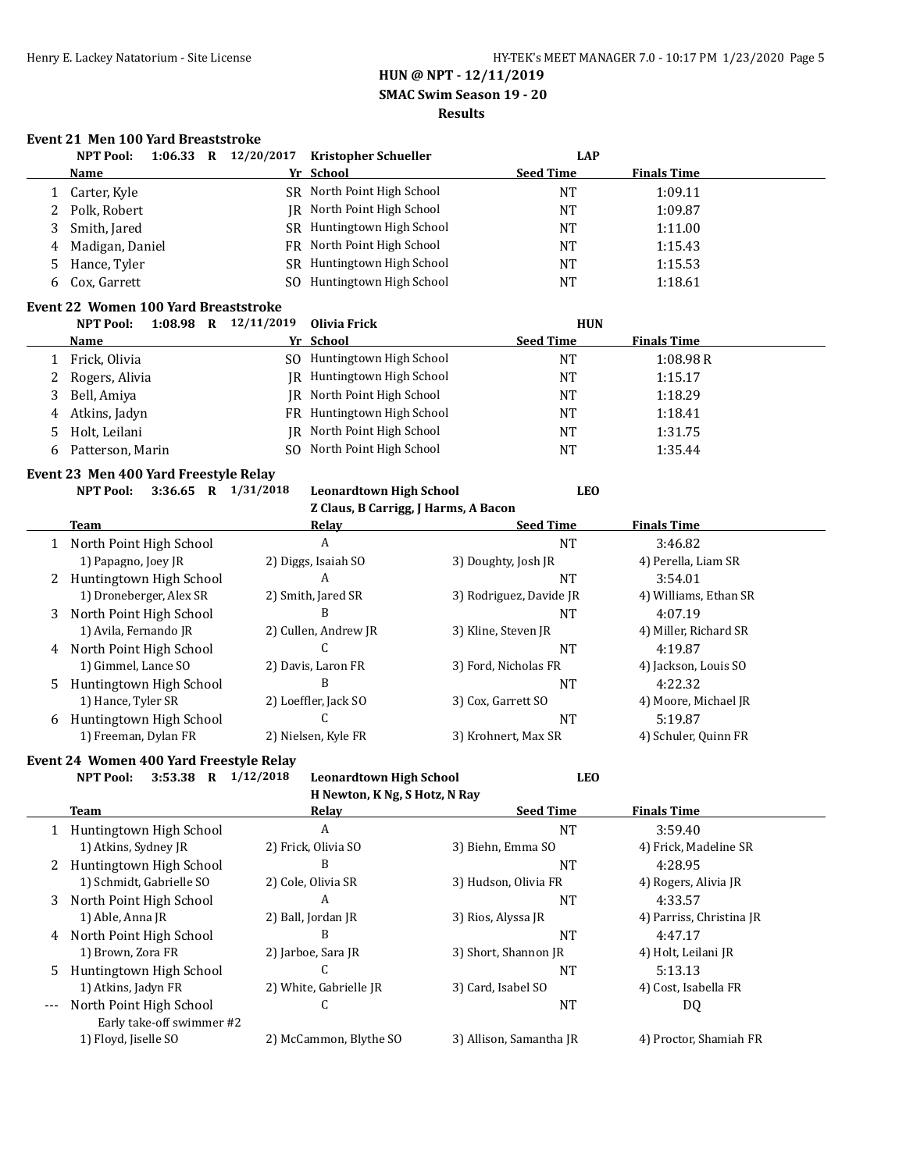### **HUN @ NPT - 12/11/2019 SMAC Swim Season 19 - 20**

# **Results**

### **Event 21 Men 100 Yard Breaststroke**

|                                                                                                                                      | <b>NPT Pool:</b>                            |             |  | 1:06.33 R $12/20/2017$ | <b>Kristopher Schueller</b>          |  |                         | <b>LAP</b> |                       |  |
|--------------------------------------------------------------------------------------------------------------------------------------|---------------------------------------------|-------------|--|------------------------|--------------------------------------|--|-------------------------|------------|-----------------------|--|
|                                                                                                                                      | <b>Name</b>                                 |             |  |                        | Yr School                            |  | <b>Seed Time</b>        |            | <b>Finals Time</b>    |  |
| 1                                                                                                                                    | Carter, Kyle                                |             |  |                        | SR North Point High School           |  | <b>NT</b>               |            | 1:09.11               |  |
| 2                                                                                                                                    | Polk, Robert                                |             |  |                        | IR North Point High School           |  | <b>NT</b>               |            | 1:09.87               |  |
| 3                                                                                                                                    | Smith, Jared                                |             |  |                        | SR Huntingtown High School           |  | <b>NT</b>               |            | 1:11.00               |  |
| 4                                                                                                                                    | Madigan, Daniel                             |             |  | FR                     | North Point High School              |  | <b>NT</b>               |            | 1:15.43               |  |
| 5                                                                                                                                    | Hance, Tyler                                |             |  |                        | SR Huntingtown High School           |  | <b>NT</b>               |            | 1:15.53               |  |
| 6                                                                                                                                    | Cox, Garrett                                |             |  |                        | SO Huntingtown High School           |  | <b>NT</b>               |            | 1:18.61               |  |
|                                                                                                                                      | <b>Event 22 Women 100 Yard Breaststroke</b> |             |  |                        |                                      |  |                         |            |                       |  |
|                                                                                                                                      | <b>NPT Pool:</b>                            | $1:08.98$ R |  | 12/11/2019             | <b>Olivia Frick</b>                  |  |                         | <b>HUN</b> |                       |  |
|                                                                                                                                      | <b>Name</b>                                 |             |  |                        | Yr School                            |  | <b>Seed Time</b>        |            | <b>Finals Time</b>    |  |
| 1                                                                                                                                    | Frick, Olivia                               |             |  |                        | SO Huntingtown High School           |  | <b>NT</b>               |            | 1:08.98R              |  |
| 2                                                                                                                                    | Rogers, Alivia                              |             |  |                        | JR Huntingtown High School           |  | <b>NT</b>               |            | 1:15.17               |  |
| 3                                                                                                                                    | Bell, Amiya                                 |             |  |                        | <b>IR</b> North Point High School    |  | <b>NT</b>               |            | 1:18.29               |  |
| 4                                                                                                                                    | Atkins, Jadyn                               |             |  | FR                     | Huntingtown High School              |  | <b>NT</b>               |            | 1:18.41               |  |
| 5                                                                                                                                    | Holt, Leilani                               |             |  | <b>IR</b>              | North Point High School              |  | <b>NT</b>               |            | 1:31.75               |  |
| 6                                                                                                                                    | Patterson, Marin                            |             |  | S <sub>O</sub>         | North Point High School              |  | <b>NT</b>               |            | 1:35.44               |  |
|                                                                                                                                      | Event 23 Men 400 Yard Freestyle Relay       |             |  |                        |                                      |  |                         |            |                       |  |
|                                                                                                                                      | <b>NPT Pool:</b>                            |             |  | 3:36.65 R $1/31/2018$  | <b>Leonardtown High School</b>       |  |                         | <b>LEO</b> |                       |  |
|                                                                                                                                      |                                             |             |  |                        | Z Claus, B Carrigg, J Harms, A Bacon |  |                         |            |                       |  |
|                                                                                                                                      | Team                                        |             |  |                        | <b>Relay</b>                         |  | <b>Seed Time</b>        |            | <b>Finals Time</b>    |  |
|                                                                                                                                      | 1 North Point High School                   |             |  |                        | A                                    |  | <b>NT</b>               |            | 3:46.82               |  |
|                                                                                                                                      | 1) Papagno, Joey JR                         |             |  |                        | 2) Diggs, Isaiah SO                  |  | 3) Doughty, Josh JR     |            | 4) Perella, Liam SR   |  |
|                                                                                                                                      | 2 Huntingtown High School                   |             |  |                        | A                                    |  | <b>NT</b>               |            | 3:54.01               |  |
|                                                                                                                                      | 1) Droneberger, Alex SR                     |             |  |                        | 2) Smith, Jared SR                   |  | 3) Rodriguez, Davide JR |            | 4) Williams, Ethan SR |  |
| 3                                                                                                                                    | North Point High School                     |             |  |                        | B                                    |  | <b>NT</b>               |            | 4:07.19               |  |
|                                                                                                                                      | 1) Avila, Fernando JR                       |             |  |                        | 2) Cullen, Andrew JR                 |  | 3) Kline, Steven JR     |            | 4) Miller, Richard SR |  |
|                                                                                                                                      | 4 North Point High School                   |             |  |                        | C                                    |  | <b>NT</b>               |            | 4:19.87               |  |
|                                                                                                                                      | 1) Gimmel, Lance SO                         |             |  |                        | 2) Davis, Laron FR                   |  | 3) Ford, Nicholas FR    |            | 4) Jackson, Louis SO  |  |
| 5.                                                                                                                                   | Huntingtown High School                     |             |  |                        | B                                    |  | <b>NT</b>               |            | 4:22.32               |  |
|                                                                                                                                      | 1) Hance, Tyler SR                          |             |  |                        | 2) Loeffler, Jack SO                 |  | 3) Cox, Garrett SO      |            | 4) Moore, Michael JR  |  |
|                                                                                                                                      | 6 Huntingtown High School                   |             |  |                        | C                                    |  | <b>NT</b>               |            | 5:19.87               |  |
|                                                                                                                                      | 1) Freeman, Dylan FR                        |             |  |                        | 2) Nielsen, Kyle FR                  |  | 3) Krohnert, Max SR     |            | 4) Schuler, Quinn FR  |  |
| Event 24 Women 400 Yard Freestyle Relay<br><b>LEO</b><br><b>NPT Pool:</b><br>3:53.38 R $1/12/2018$<br><b>Leonardtown High School</b> |                                             |             |  |                        |                                      |  |                         |            |                       |  |

**H Newton, K Ng, S Hotz, N Ray**

|       | Team                                                 | Relay                  | <b>Seed Time</b>        | <b>Finals Time</b>       |
|-------|------------------------------------------------------|------------------------|-------------------------|--------------------------|
|       | Huntingtown High School                              | A                      | NT                      | 3:59.40                  |
|       | 1) Atkins, Sydney JR                                 | 2) Frick, Olivia SO    | 3) Biehn, Emma SO       | 4) Frick, Madeline SR    |
|       | Huntingtown High School                              | B                      | <b>NT</b>               | 4:28.95                  |
|       | 1) Schmidt, Gabrielle SO                             | 2) Cole, Olivia SR     | 3) Hudson, Olivia FR    | 4) Rogers, Alivia JR     |
| 3     | North Point High School                              | A                      | NT                      | 4:33.57                  |
|       | 1) Able, Anna JR                                     | 2) Ball, Jordan JR     | 3) Rios, Alyssa JR      | 4) Parriss, Christina JR |
| 4     | North Point High School                              | B                      | <b>NT</b>               | 4:47.17                  |
|       | 1) Brown, Zora FR                                    | 2) Jarboe, Sara JR     | 3) Short, Shannon JR    | 4) Holt, Leilani JR      |
| 5.    | Huntingtown High School                              | U                      | NT                      | 5:13.13                  |
|       | 1) Atkins, Jadyn FR                                  | 2) White, Gabrielle JR | 3) Card, Isabel SO      | 4) Cost, Isabella FR     |
| $---$ | North Point High School<br>Early take-off swimmer #2 | U                      | NT                      | DQ                       |
|       | 1) Floyd, Jiselle SO                                 | 2) McCammon, Blythe SO | 3) Allison, Samantha JR | 4) Proctor, Shamiah FR   |